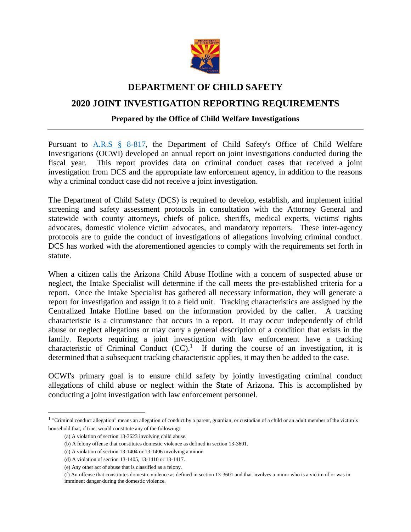

## **DEPARTMENT OF CHILD SAFETY**

# **2020 JOINT INVESTIGATION REPORTING REQUIREMENTS**

## **Prepared by the Office of Child Welfare Investigations**

Pursuant to [A.R.S § 8-817,](https://www.azleg.gov/viewdocument/?docName=https://www.azleg.gov/ars/8/00817.htm) the Department of Child Safety's Office of Child Welfare Investigations (OCWI) developed an annual report on joint investigations conducted during the fiscal year. This report provides data on criminal conduct cases that received a joint investigation from DCS and the appropriate law enforcement agency, in addition to the reasons why a criminal conduct case did not receive a joint investigation.

The Department of Child Safety (DCS) is required to develop, establish, and implement initial screening and safety assessment protocols in consultation with the Attorney General and statewide with county attorneys, chiefs of police, sheriffs, medical experts, victims' rights advocates, domestic violence victim advocates, and mandatory reporters. These inter-agency protocols are to guide the conduct of investigations of allegations involving criminal conduct. DCS has worked with the aforementioned agencies to comply with the requirements set forth in statute.

When a citizen calls the Arizona Child Abuse Hotline with a concern of suspected abuse or neglect, the Intake Specialist will determine if the call meets the pre-established criteria for a report. Once the Intake Specialist has gathered all necessary information, they will generate a report for investigation and assign it to a field unit. Tracking characteristics are assigned by the Centralized Intake Hotline based on the information provided by the caller. A tracking characteristic is a circumstance that occurs in a report. It may occur independently of child abuse or neglect allegations or may carry a general description of a condition that exists in the family. Reports requiring a joint investigation with law enforcement have a tracking characteristic of Criminal Conduct  $(CC)$ <sup>1</sup> If during the course of an investigation, it is determined that a subsequent tracking characteristic applies, it may then be added to the case.

OCWI's primary goal is to ensure child safety by jointly investigating criminal conduct allegations of child abuse or neglect within the State of Arizona. This is accomplished by conducting a joint investigation with law enforcement personnel.

 $\overline{a}$ 

<sup>&</sup>lt;sup>1</sup> "Criminal conduct allegation" means an allegation of conduct by a parent, guardian, or custodian of a child or an adult member of the victim's household that, if true, would constitute any of the following:

<sup>(</sup>a) A violation of section 13-3623 involving child abuse.

<sup>(</sup>b) A felony offense that constitutes domestic violence as defined in section 13-3601.

<sup>(</sup>c) A violation of section 13-1404 or 13-1406 involving a minor.

<sup>(</sup>d) A violation of section 13-1405, 13-1410 or 13-1417.

<sup>(</sup>e) Any other act of abuse that is classified as a felony.

<sup>(</sup>f) An offense that constitutes domestic violence as defined in section 13-3601 and that involves a minor who is a victim of or was in imminent danger during the domestic violence.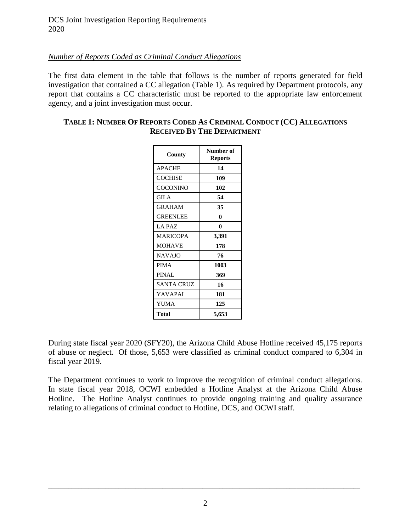## *Number of Reports Coded as Criminal Conduct Allegations*

The first data element in the table that follows is the number of reports generated for field investigation that contained a CC allegation (Table 1). As required by Department protocols, any report that contains a CC characteristic must be reported to the appropriate law enforcement agency, and a joint investigation must occur.

## **TABLE 1: NUMBER OF REPORTS CODED AS CRIMINAL CONDUCT (CC) ALLEGATIONS RECEIVED BY THE DEPARTMENT**

| County          | Number of<br><b>Reports</b> |  |  |
|-----------------|-----------------------------|--|--|
| <b>APACHE</b>   | 14                          |  |  |
| <b>COCHISE</b>  | 109                         |  |  |
| COCONINO        | 102                         |  |  |
| GILA            | 54                          |  |  |
| <b>GRAHAM</b>   | 35                          |  |  |
| <b>GREENLEE</b> | 0                           |  |  |
| LA PAZ          | 0                           |  |  |
| <b>MARICOPA</b> | 3,391                       |  |  |
| <b>MOHAVE</b>   | 178                         |  |  |
| <b>NAVAJO</b>   | 76                          |  |  |
| <b>PIMA</b>     | 1003                        |  |  |
| <b>PINAL</b>    | 369                         |  |  |
| SANTA CRUZ      | 16                          |  |  |
| YAVAPAI         | 181                         |  |  |
| YUMA            | 125                         |  |  |
| Total           | 5,653                       |  |  |

During state fiscal year 2020 (SFY20), the Arizona Child Abuse Hotline received 45,175 reports of abuse or neglect. Of those, 5,653 were classified as criminal conduct compared to 6,304 in fiscal year 2019.

The Department continues to work to improve the recognition of criminal conduct allegations. In state fiscal year 2018, OCWI embedded a Hotline Analyst at the Arizona Child Abuse Hotline. The Hotline Analyst continues to provide ongoing training and quality assurance relating to allegations of criminal conduct to Hotline, DCS, and OCWI staff.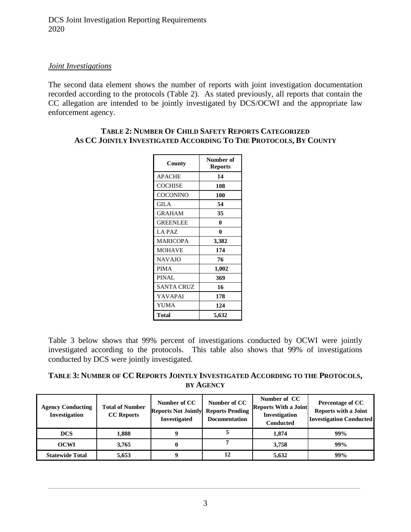DCS Joint Investigation Reporting Requirements 2020

### *Joint Investigations*

The second data element shows the number of reports with joint investigation documentation recorded according to the protocols (Table 2). As stated previously, all reports that contain the CC allegation are intended to be jointly investigated by DCS/OCWI and the appropriate law enforcement agency.

| County          | Number of<br><b>Reports</b> |  |
|-----------------|-----------------------------|--|
| <b>APACHE</b>   | 14                          |  |
| <b>COCHISE</b>  | 108                         |  |
| COCONINO        | 100                         |  |
| GILA            | 54                          |  |
| <b>GRAHAM</b>   | 35                          |  |
| <b>GREENLEE</b> | 0                           |  |
| LA PAZ          | 0                           |  |
| <b>MARICOPA</b> | 3,382                       |  |
| <b>MOHAVE</b>   | 174                         |  |
| <b>NAVAJO</b>   | 76                          |  |
| <b>PIMA</b>     | 1,002                       |  |
| <b>PINAL</b>    | 369                         |  |
| SANTA CRUZ      | 16                          |  |
| YAVAPAI         | 178                         |  |
| YUMA            | 124                         |  |
| <b>Total</b>    | 5,632                       |  |

#### **TABLE 2: NUMBER OF CHILD SAFETY REPORTS CATEGORIZED AS CC JOINTLY INVESTIGATED ACCORDING TO THE PROTOCOLS, BY COUNTY**

Table 3 below shows that 99% percent of investigations conducted by OCWI were jointly investigated according to the protocols. This table also shows that 99% of investigations conducted by DCS were jointly investigated.

**TABLE 3: NUMBER OF CC REPORTS JOINTLY INVESTIGATED ACCORDING TO THE PROTOCOLS, BY AGENCY**

| <b>Agency Conducting</b><br><b>Investigation</b> | <b>Total of Number</b><br><b>CC</b> Reports | Number of CC<br><b>Reports Not Jointly</b><br><b>Investigated</b> | Number of CC<br><b>Reports Pending</b><br><b>Documentation</b> | Number of CC<br><b>Reports With a Joint</b><br>Investigation<br><b>Conducted</b> | <b>Percentage of CC</b><br><b>Reports with a Joint</b><br><b>Investigation Conducted</b> |
|--------------------------------------------------|---------------------------------------------|-------------------------------------------------------------------|----------------------------------------------------------------|----------------------------------------------------------------------------------|------------------------------------------------------------------------------------------|
| <b>DCS</b>                                       | 1.888                                       |                                                                   |                                                                | 1.874                                                                            | 99%                                                                                      |
| <b>OCWI</b>                                      | 3.765                                       |                                                                   | 7                                                              | 3.758                                                                            | 99%                                                                                      |
| <b>Statewide Total</b>                           | 5,653                                       |                                                                   | 12                                                             | 5,632                                                                            | 99%                                                                                      |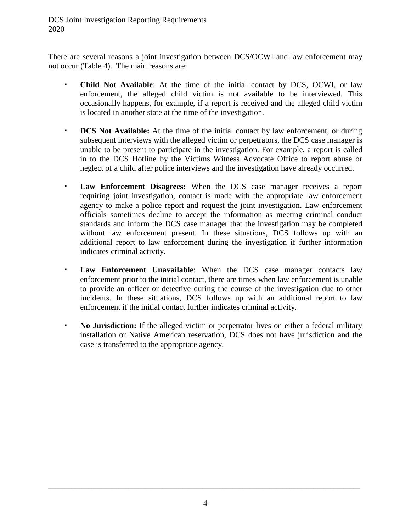DCS Joint Investigation Reporting Requirements 2020

There are several reasons a joint investigation between DCS/OCWI and law enforcement may not occur (Table 4). The main reasons are:

- **Child Not Available**: At the time of the initial contact by DCS, OCWI, or law enforcement, the alleged child victim is not available to be interviewed. This occasionally happens, for example, if a report is received and the alleged child victim is located in another state at the time of the investigation.
- **DCS Not Available:** At the time of the initial contact by law enforcement, or during subsequent interviews with the alleged victim or perpetrators, the DCS case manager is unable to be present to participate in the investigation. For example, a report is called in to the DCS Hotline by the Victims Witness Advocate Office to report abuse or neglect of a child after police interviews and the investigation have already occurred.
- **Law Enforcement Disagrees:** When the DCS case manager receives a report requiring joint investigation, contact is made with the appropriate law enforcement agency to make a police report and request the joint investigation. Law enforcement officials sometimes decline to accept the information as meeting criminal conduct standards and inform the DCS case manager that the investigation may be completed without law enforcement present. In these situations, DCS follows up with an additional report to law enforcement during the investigation if further information indicates criminal activity.
- **Law Enforcement Unavailable**: When the DCS case manager contacts law enforcement prior to the initial contact, there are times when law enforcement is unable to provide an officer or detective during the course of the investigation due to other incidents. In these situations, DCS follows up with an additional report to law enforcement if the initial contact further indicates criminal activity.
- **No Jurisdiction:** If the alleged victim or perpetrator lives on either a federal military installation or Native American reservation, DCS does not have jurisdiction and the case is transferred to the appropriate agency.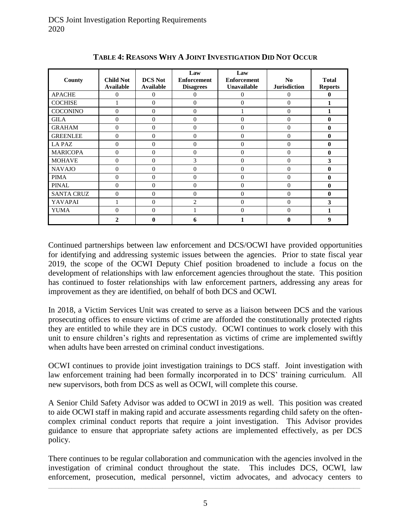| County            | <b>Child Not</b><br><b>Available</b> | <b>DCS</b> Not<br><b>Available</b> | Law<br><b>Enforcement</b><br><b>Disagrees</b> | Law<br><b>Enforcement</b><br>Unavailable | N <sub>0</sub><br><b>Jurisdiction</b> | <b>Total</b><br><b>Reports</b> |
|-------------------|--------------------------------------|------------------------------------|-----------------------------------------------|------------------------------------------|---------------------------------------|--------------------------------|
| <b>APACHE</b>     | $\Omega$                             | $\theta$                           | 0                                             | $\overline{0}$                           | 0                                     | 0                              |
| <b>COCHISE</b>    |                                      | $\theta$                           | $\mathbf{0}$                                  | $\theta$                                 | $\theta$                              |                                |
| <b>COCONINO</b>   | $\Omega$                             | $\mathbf{0}$                       | $\theta$                                      |                                          | $\Omega$                              |                                |
| <b>GILA</b>       | $\Omega$                             | $\mathbf{0}$                       | $\overline{0}$                                | $\overline{0}$                           | $\theta$                              | $\bf{0}$                       |
| <b>GRAHAM</b>     | $\Omega$                             | $\mathbf{0}$                       | $\theta$                                      | $\overline{0}$                           | $\Omega$                              | $\bf{0}$                       |
| <b>GREENLEE</b>   | $\Omega$                             | $\mathbf{0}$                       | $\theta$                                      | $\overline{0}$                           | $\Omega$                              | $\bf{0}$                       |
| LA PAZ            | $\Omega$                             | $\overline{0}$                     | $\theta$                                      | $\overline{0}$                           | $\Omega$                              | $\bf{0}$                       |
| <b>MARICOPA</b>   | $\Omega$                             | $\mathbf{0}$                       | $\theta$                                      | $\overline{0}$                           | $\overline{0}$                        | $\bf{0}$                       |
| <b>MOHAVE</b>     | $\Omega$                             | $\mathbf{0}$                       | 3                                             | $\theta$                                 | $\overline{0}$                        | 3                              |
| <b>NAVAJO</b>     | $\Omega$                             | $\mathbf{0}$                       | $\Omega$                                      | $\theta$                                 | $\theta$                              | $\bf{0}$                       |
| <b>PIMA</b>       | $\Omega$                             | $\mathbf{0}$                       | $\Omega$                                      | $\Omega$                                 | $\theta$                              | $\bf{0}$                       |
| <b>PINAL</b>      | $\Omega$                             | $\theta$                           | $\theta$                                      | $\Omega$                                 | $\theta$                              | $\bf{0}$                       |
| <b>SANTA CRUZ</b> | $\Omega$                             | $\mathbf{0}$                       | $\theta$                                      | $\Omega$                                 | $\Omega$                              | $\mathbf{0}$                   |
| <b>YAVAPAI</b>    |                                      | $\mathbf{0}$                       | $\overline{2}$                                | $\theta$                                 | $\mathbf{0}$                          | 3                              |
| <b>YUMA</b>       | $\Omega$                             | $\mathbf{0}$                       |                                               | $\theta$                                 | $\Omega$                              | 1                              |
|                   | $\mathbf{2}$                         | 0                                  | 6                                             | 1                                        | $\mathbf{0}$                          | 9                              |

**TABLE 4: REASONS WHY A JOINT INVESTIGATION DID NOT OCCUR**

Continued partnerships between law enforcement and DCS/OCWI have provided opportunities for identifying and addressing systemic issues between the agencies. Prior to state fiscal year 2019, the scope of the OCWI Deputy Chief position broadened to include a focus on the development of relationships with law enforcement agencies throughout the state. This position has continued to foster relationships with law enforcement partners, addressing any areas for improvement as they are identified, on behalf of both DCS and OCWI.

In 2018, a Victim Services Unit was created to serve as a liaison between DCS and the various prosecuting offices to ensure victims of crime are afforded the constitutionally protected rights they are entitled to while they are in DCS custody. OCWI continues to work closely with this unit to ensure children's rights and representation as victims of crime are implemented swiftly when adults have been arrested on criminal conduct investigations.

OCWI continues to provide joint investigation trainings to DCS staff. Joint investigation with law enforcement training had been formally incorporated in to DCS' training curriculum. All new supervisors, both from DCS as well as OCWI, will complete this course.

A Senior Child Safety Advisor was added to OCWI in 2019 as well. This position was created to aide OCWI staff in making rapid and accurate assessments regarding child safety on the oftencomplex criminal conduct reports that require a joint investigation. This Advisor provides guidance to ensure that appropriate safety actions are implemented effectively, as per DCS policy.

There continues to be regular collaboration and communication with the agencies involved in the investigation of criminal conduct throughout the state. This includes DCS, OCWI, law enforcement, prosecution, medical personnel, victim advocates, and advocacy centers to